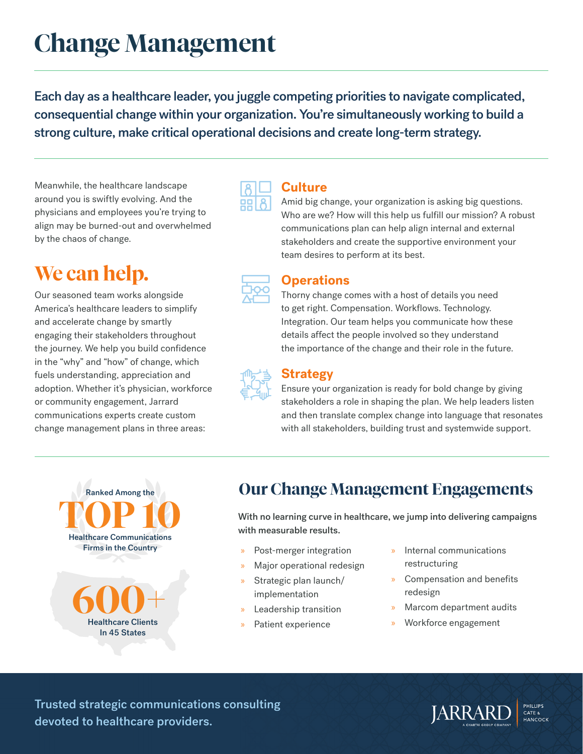# **Change Management**

Each day as a healthcare leader, you juggle competing priorities to navigate complicated, consequential change within your organization. You're simultaneously working to build a strong culture, make critical operational decisions and create long-term strategy.

Meanwhile, the healthcare landscape around you is swiftly evolving. And the physicians and employees you're trying to align may be burned-out and overwhelmed by the chaos of change.

## **We can help.**

Our seasoned team works alongside America's healthcare leaders to simplify and accelerate change by smartly engaging their stakeholders throughout the journey. We help you build confidence in the "why" and "how" of change, which fuels understanding, appreciation and adoption. Whether it's physician, workforce or community engagement, Jarrard communications experts create custom change management plans in three areas:



### **Culture**

Amid big change, your organization is asking big questions. Who are we? How will this help us fulfill our mission? A robust communications plan can help align internal and external stakeholders and create the supportive environment your team desires to perform at its best.



### **Operations**

Thorny change comes with a host of details you need to get right. Compensation. Workflows. Technology. Integration. Our team helps you communicate how these details affect the people involved so they understand the importance of the change and their role in the future.



### **Strategy**

Ensure your organization is ready for bold change by giving stakeholders a role in shaping the plan. We help leaders listen and then translate complex change into language that resonates with all stakeholders, building trust and systemwide support.

**600+** Healthcare Clients **TOP 10** Ranked Among the Healthcare Communications Firms in the Country

In 45 States

### **Our Change Management Engagements**

With no learning curve in healthcare, we jump into delivering campaigns with measurable results.

- Post-merger integration
- » Major operational redesign
- » Strategic plan launch/ implementation
- » Leadership transition
- Patient experience
- » Internal communications restructuring
- » Compensation and benefits redesign
- » Marcom department audits
- » Workforce engagement

Trusted strategic communications consulting devoted to healthcare providers.